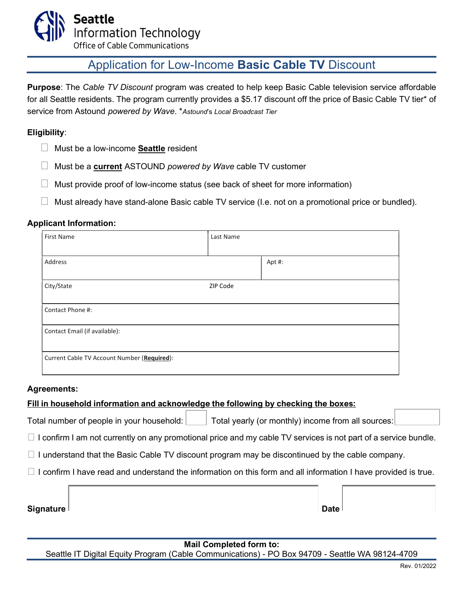

Office of Cable Communications

# Application for Low-Income Basic Cable TV Discount

Purpose: The Cable TV Discount program was created to help keep Basic Cable television service affordable for all Seattle residents. The program currently provides a \$5.17 discount off the price of Basic Cable TV tier\* of service from Astound powered by Wave. \*Astound's Local Broadcast Tier

### Eligibility:

- $\Box$  Must be a low-income **Seattle** resident
- $\Box$  Must be a **current** ASTOUND powered by Wave cable TV customer
- $\Box$  Must provide proof of low-income status (see back of sheet for more information)
- $\Box$  Must already have stand-alone Basic cable TV service (I.e. not on a promotional price or bundled).

### Applicant Information:

| First Name                                  | Last Name |       |  |  |
|---------------------------------------------|-----------|-------|--|--|
| Address                                     |           | Apt#: |  |  |
| City/State                                  | ZIP Code  |       |  |  |
| Contact Phone #:                            |           |       |  |  |
| Contact Email (if available):               |           |       |  |  |
| Current Cable TV Account Number (Required): |           |       |  |  |

#### Agreements:

## Fill in household information and acknowledge the following by checking the boxes:

Total number of people in your household:  $\Box$  Total yearly (or monthly) income from all sources:

 $\Box$  I confirm I am not currently on any promotional price and my cable TV services is not part of a service bundle.

 $\Box$  I understand that the Basic Cable TV discount program may be discontinued by the cable company.

 $\Box$  I confirm I have read and understand the information on this form and all information I have provided is true.

Signature Date

### Mail Completed form to:

Seattle IT Digital Equity Program (Cable Communications) - PO Box 94709 - Seattle WA 98124-4709